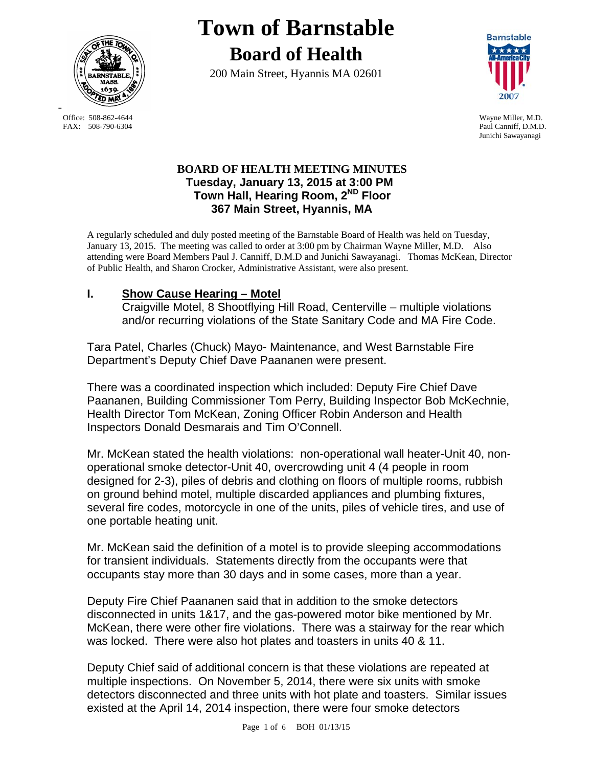

-

# **Town of Barnstable Board of Health**

200 Main Street, Hyannis MA 02601



Office: 508-862-4644 Wayne Miller, M.D.<br>
FAX: 508-790-6304 Paul Canniff. D.M.D Paul Canniff, D.M.D. Junichi Sawayanagi

## **BOARD OF HEALTH MEETING MINUTES Tuesday, January 13, 2015 at 3:00 PM Town Hall, Hearing Room, 2ND Floor 367 Main Street, Hyannis, MA**

A regularly scheduled and duly posted meeting of the Barnstable Board of Health was held on Tuesday, January 13, 2015. The meeting was called to order at 3:00 pm by Chairman Wayne Miller, M.D. Also attending were Board Members Paul J. Canniff, D.M.D and Junichi Sawayanagi. Thomas McKean, Director of Public Health, and Sharon Crocker, Administrative Assistant, were also present.

# **I. Show Cause Hearing – Motel**

Craigville Motel, 8 Shootflying Hill Road, Centerville – multiple violations and/or recurring violations of the State Sanitary Code and MA Fire Code.

Tara Patel, Charles (Chuck) Mayo- Maintenance, and West Barnstable Fire Department's Deputy Chief Dave Paananen were present.

There was a coordinated inspection which included: Deputy Fire Chief Dave Paananen, Building Commissioner Tom Perry, Building Inspector Bob McKechnie, Health Director Tom McKean, Zoning Officer Robin Anderson and Health Inspectors Donald Desmarais and Tim O'Connell.

Mr. McKean stated the health violations: non-operational wall heater-Unit 40, nonoperational smoke detector-Unit 40, overcrowding unit 4 (4 people in room designed for 2-3), piles of debris and clothing on floors of multiple rooms, rubbish on ground behind motel, multiple discarded appliances and plumbing fixtures, several fire codes, motorcycle in one of the units, piles of vehicle tires, and use of one portable heating unit.

Mr. McKean said the definition of a motel is to provide sleeping accommodations for transient individuals. Statements directly from the occupants were that occupants stay more than 30 days and in some cases, more than a year.

Deputy Fire Chief Paananen said that in addition to the smoke detectors disconnected in units 1&17, and the gas-powered motor bike mentioned by Mr. McKean, there were other fire violations. There was a stairway for the rear which was locked. There were also hot plates and toasters in units 40 & 11.

Deputy Chief said of additional concern is that these violations are repeated at multiple inspections. On November 5, 2014, there were six units with smoke detectors disconnected and three units with hot plate and toasters. Similar issues existed at the April 14, 2014 inspection, there were four smoke detectors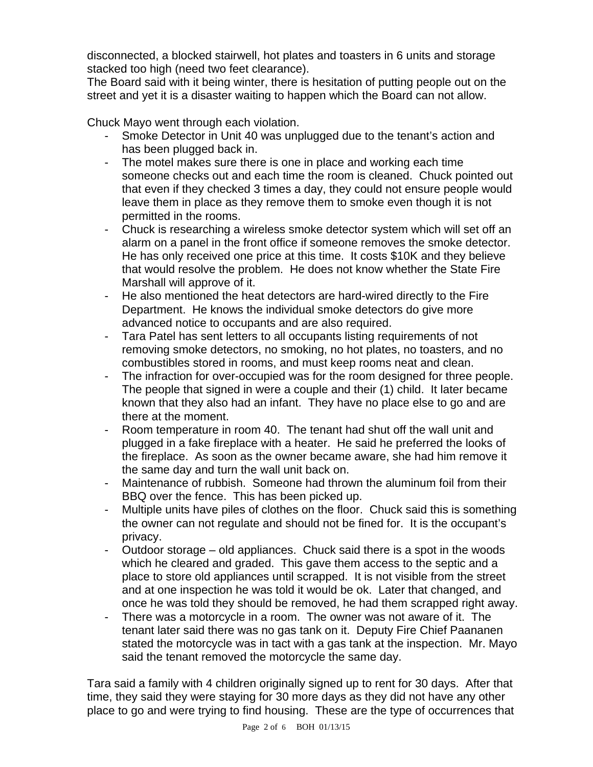disconnected, a blocked stairwell, hot plates and toasters in 6 units and storage stacked too high (need two feet clearance).

The Board said with it being winter, there is hesitation of putting people out on the street and yet it is a disaster waiting to happen which the Board can not allow.

Chuck Mayo went through each violation.

- Smoke Detector in Unit 40 was unplugged due to the tenant's action and has been plugged back in.
- The motel makes sure there is one in place and working each time someone checks out and each time the room is cleaned. Chuck pointed out that even if they checked 3 times a day, they could not ensure people would leave them in place as they remove them to smoke even though it is not permitted in the rooms.
- Chuck is researching a wireless smoke detector system which will set off an alarm on a panel in the front office if someone removes the smoke detector. He has only received one price at this time. It costs \$10K and they believe that would resolve the problem. He does not know whether the State Fire Marshall will approve of it.
- He also mentioned the heat detectors are hard-wired directly to the Fire Department. He knows the individual smoke detectors do give more advanced notice to occupants and are also required.
- Tara Patel has sent letters to all occupants listing requirements of not removing smoke detectors, no smoking, no hot plates, no toasters, and no combustibles stored in rooms, and must keep rooms neat and clean.
- The infraction for over-occupied was for the room designed for three people. The people that signed in were a couple and their (1) child. It later became known that they also had an infant. They have no place else to go and are there at the moment.
- Room temperature in room 40. The tenant had shut off the wall unit and plugged in a fake fireplace with a heater. He said he preferred the looks of the fireplace. As soon as the owner became aware, she had him remove it the same day and turn the wall unit back on.
- Maintenance of rubbish. Someone had thrown the aluminum foil from their BBQ over the fence. This has been picked up.
- Multiple units have piles of clothes on the floor. Chuck said this is something the owner can not regulate and should not be fined for. It is the occupant's privacy.
- Outdoor storage old appliances. Chuck said there is a spot in the woods which he cleared and graded. This gave them access to the septic and a place to store old appliances until scrapped. It is not visible from the street and at one inspection he was told it would be ok. Later that changed, and once he was told they should be removed, he had them scrapped right away.
- There was a motorcycle in a room. The owner was not aware of it. The tenant later said there was no gas tank on it. Deputy Fire Chief Paananen stated the motorcycle was in tact with a gas tank at the inspection. Mr. Mayo said the tenant removed the motorcycle the same day.

Tara said a family with 4 children originally signed up to rent for 30 days. After that time, they said they were staying for 30 more days as they did not have any other place to go and were trying to find housing. These are the type of occurrences that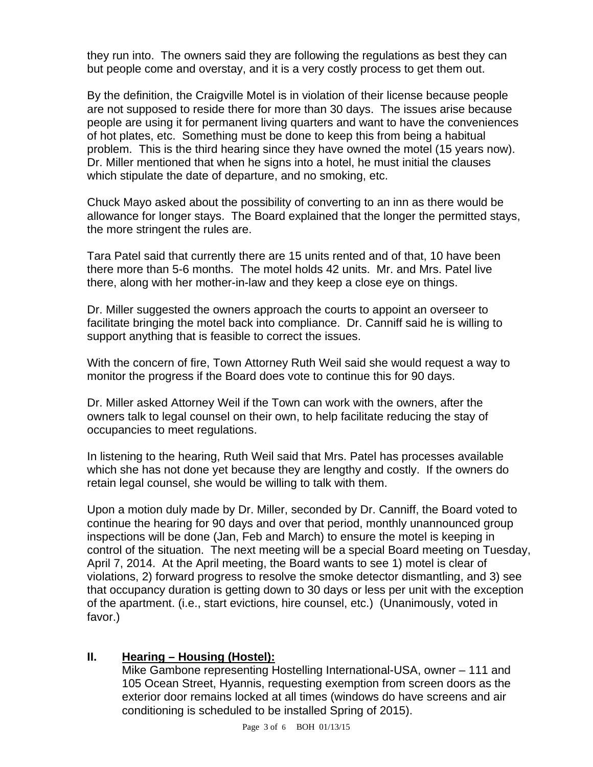they run into. The owners said they are following the regulations as best they can but people come and overstay, and it is a very costly process to get them out.

By the definition, the Craigville Motel is in violation of their license because people are not supposed to reside there for more than 30 days. The issues arise because people are using it for permanent living quarters and want to have the conveniences of hot plates, etc. Something must be done to keep this from being a habitual problem. This is the third hearing since they have owned the motel (15 years now). Dr. Miller mentioned that when he signs into a hotel, he must initial the clauses which stipulate the date of departure, and no smoking, etc.

Chuck Mayo asked about the possibility of converting to an inn as there would be allowance for longer stays. The Board explained that the longer the permitted stays, the more stringent the rules are.

Tara Patel said that currently there are 15 units rented and of that, 10 have been there more than 5-6 months. The motel holds 42 units. Mr. and Mrs. Patel live there, along with her mother-in-law and they keep a close eye on things.

Dr. Miller suggested the owners approach the courts to appoint an overseer to facilitate bringing the motel back into compliance. Dr. Canniff said he is willing to support anything that is feasible to correct the issues.

With the concern of fire, Town Attorney Ruth Weil said she would request a way to monitor the progress if the Board does vote to continue this for 90 days.

Dr. Miller asked Attorney Weil if the Town can work with the owners, after the owners talk to legal counsel on their own, to help facilitate reducing the stay of occupancies to meet regulations.

In listening to the hearing, Ruth Weil said that Mrs. Patel has processes available which she has not done yet because they are lengthy and costly. If the owners do retain legal counsel, she would be willing to talk with them.

Upon a motion duly made by Dr. Miller, seconded by Dr. Canniff, the Board voted to continue the hearing for 90 days and over that period, monthly unannounced group inspections will be done (Jan, Feb and March) to ensure the motel is keeping in control of the situation. The next meeting will be a special Board meeting on Tuesday, April 7, 2014. At the April meeting, the Board wants to see 1) motel is clear of violations, 2) forward progress to resolve the smoke detector dismantling, and 3) see that occupancy duration is getting down to 30 days or less per unit with the exception of the apartment. (i.e., start evictions, hire counsel, etc.) (Unanimously, voted in favor.)

# **II. Hearing – Housing (Hostel):**

Mike Gambone representing Hostelling International-USA, owner – 111 and 105 Ocean Street, Hyannis, requesting exemption from screen doors as the exterior door remains locked at all times (windows do have screens and air conditioning is scheduled to be installed Spring of 2015).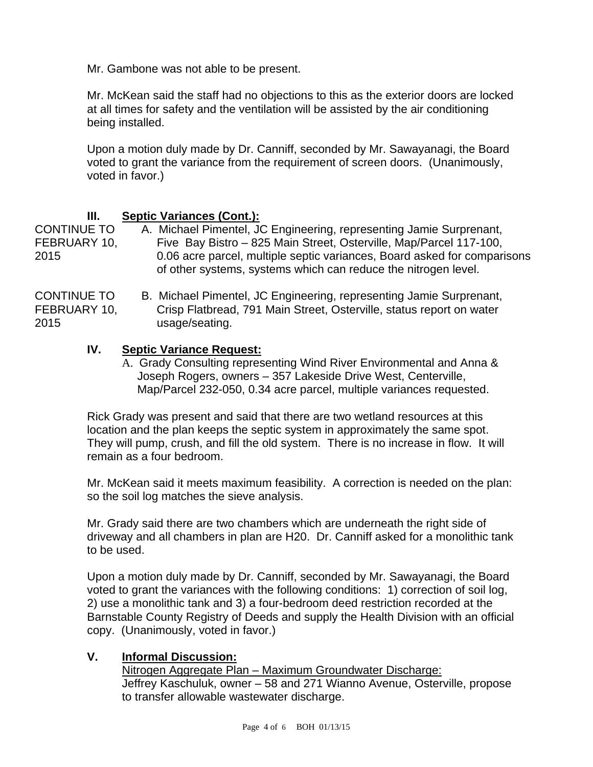Mr. Gambone was not able to be present.

Mr. McKean said the staff had no objections to this as the exterior doors are locked at all times for safety and the ventilation will be assisted by the air conditioning being installed.

Upon a motion duly made by Dr. Canniff, seconded by Mr. Sawayanagi, the Board voted to grant the variance from the requirement of screen doors. (Unanimously, voted in favor.)

## **III. Septic Variances (Cont.):**

CONTINUE TO A. Michael Pimentel, JC Engineering, representing Jamie Surprenant, FEBRUARY 10, Five Bay Bistro – 825 Main Street, Osterville, Map/Parcel 117-100, 2015 0.06 acre parcel, multiple septic variances, Board asked for comparisons of other systems, systems which can reduce the nitrogen level.

CONTINUE TO B. Michael Pimentel, JC Engineering, representing Jamie Surprenant, FEBRUARY 10, Crisp Flatbread, 791 Main Street, Osterville, status report on water 2015 usage/seating.

## **IV. Septic Variance Request:**

A. Grady Consulting representing Wind River Environmental and Anna & Joseph Rogers, owners – 357 Lakeside Drive West, Centerville, Map/Parcel 232-050, 0.34 acre parcel, multiple variances requested.

Rick Grady was present and said that there are two wetland resources at this location and the plan keeps the septic system in approximately the same spot. They will pump, crush, and fill the old system. There is no increase in flow. It will remain as a four bedroom.

Mr. McKean said it meets maximum feasibility. A correction is needed on the plan: so the soil log matches the sieve analysis.

Mr. Grady said there are two chambers which are underneath the right side of driveway and all chambers in plan are H20. Dr. Canniff asked for a monolithic tank to be used.

Upon a motion duly made by Dr. Canniff, seconded by Mr. Sawayanagi, the Board voted to grant the variances with the following conditions: 1) correction of soil log, 2) use a monolithic tank and 3) a four-bedroom deed restriction recorded at the Barnstable County Registry of Deeds and supply the Health Division with an official copy. (Unanimously, voted in favor.)

#### **V. Informal Discussion:**

Nitrogen Aggregate Plan – Maximum Groundwater Discharge: Jeffrey Kaschuluk, owner – 58 and 271 Wianno Avenue, Osterville, propose to transfer allowable wastewater discharge.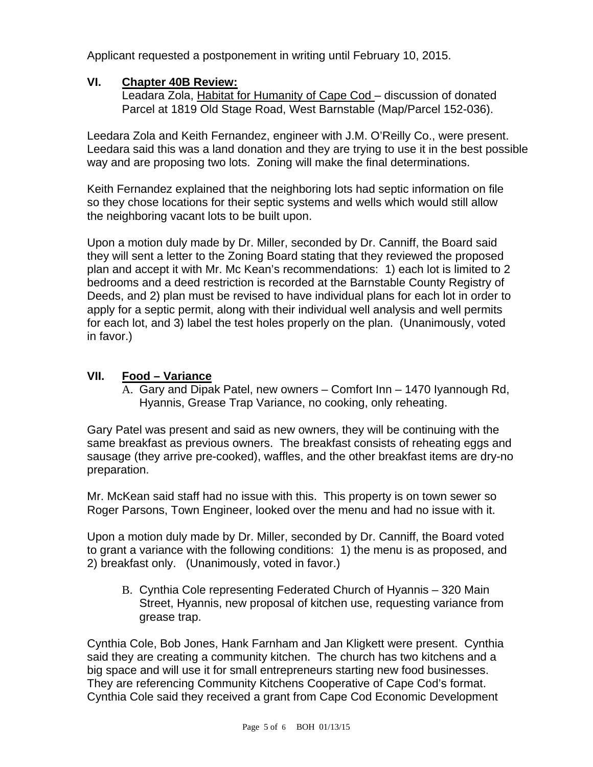Applicant requested a postponement in writing until February 10, 2015.

### **VI. Chapter 40B Review:**

Leadara Zola, Habitat for Humanity of Cape Cod – discussion of donated Parcel at 1819 Old Stage Road, West Barnstable (Map/Parcel 152-036).

Leedara Zola and Keith Fernandez, engineer with J.M. O'Reilly Co., were present. Leedara said this was a land donation and they are trying to use it in the best possible way and are proposing two lots. Zoning will make the final determinations.

Keith Fernandez explained that the neighboring lots had septic information on file so they chose locations for their septic systems and wells which would still allow the neighboring vacant lots to be built upon.

Upon a motion duly made by Dr. Miller, seconded by Dr. Canniff, the Board said they will sent a letter to the Zoning Board stating that they reviewed the proposed plan and accept it with Mr. Mc Kean's recommendations: 1) each lot is limited to 2 bedrooms and a deed restriction is recorded at the Barnstable County Registry of Deeds, and 2) plan must be revised to have individual plans for each lot in order to apply for a septic permit, along with their individual well analysis and well permits for each lot, and 3) label the test holes properly on the plan. (Unanimously, voted in favor.)

## **VII. Food – Variance**

A. Gary and Dipak Patel, new owners – Comfort Inn – 1470 Iyannough Rd, Hyannis, Grease Trap Variance, no cooking, only reheating.

Gary Patel was present and said as new owners, they will be continuing with the same breakfast as previous owners. The breakfast consists of reheating eggs and sausage (they arrive pre-cooked), waffles, and the other breakfast items are dry-no preparation.

Mr. McKean said staff had no issue with this. This property is on town sewer so Roger Parsons, Town Engineer, looked over the menu and had no issue with it.

Upon a motion duly made by Dr. Miller, seconded by Dr. Canniff, the Board voted to grant a variance with the following conditions: 1) the menu is as proposed, and 2) breakfast only. (Unanimously, voted in favor.)

B. Cynthia Cole representing Federated Church of Hyannis – 320 Main Street, Hyannis, new proposal of kitchen use, requesting variance from grease trap.

Cynthia Cole, Bob Jones, Hank Farnham and Jan Kligkett were present. Cynthia said they are creating a community kitchen. The church has two kitchens and a big space and will use it for small entrepreneurs starting new food businesses. They are referencing Community Kitchens Cooperative of Cape Cod's format. Cynthia Cole said they received a grant from Cape Cod Economic Development